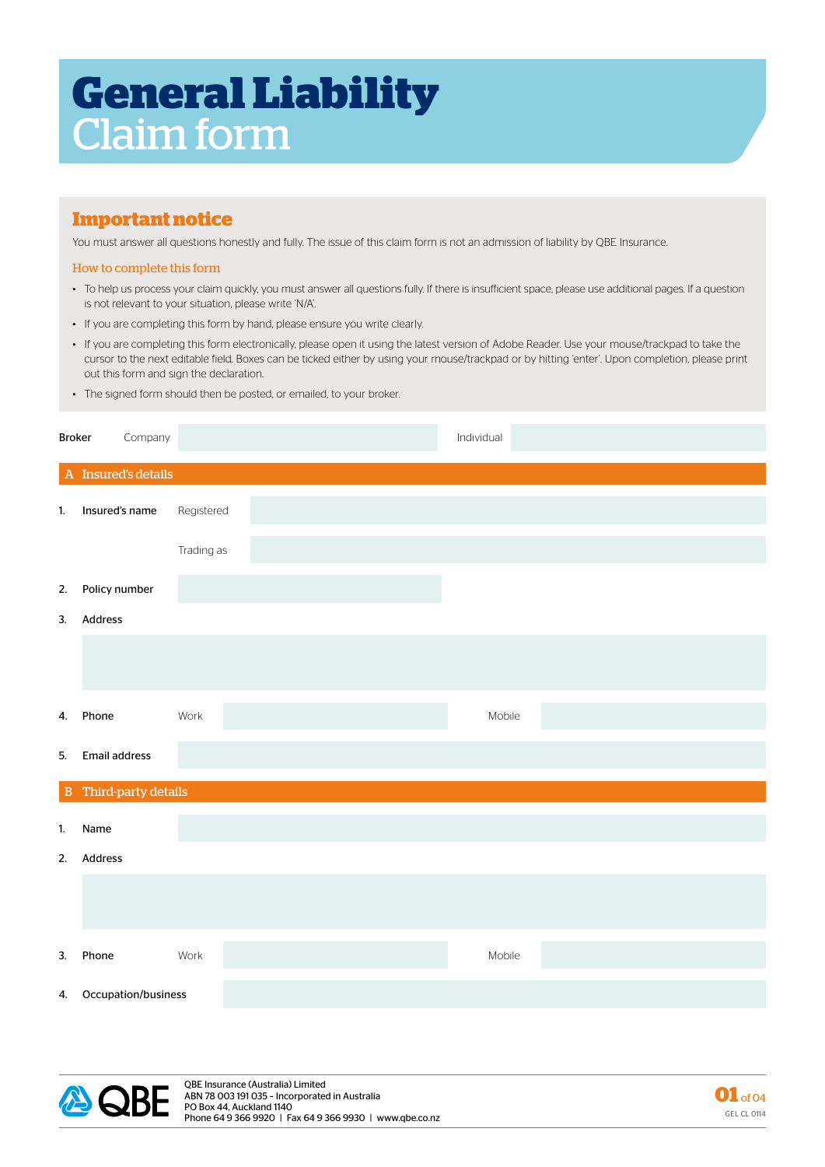# **General Liability** Claim form

## **Important notice**

You must answer all questions honestly and fully. The issue of this claim form is not an admission of liability by QBE Insurance.

#### How to complete this form

- To help us process your claim quickly, you must answer all questions fully. If there is insufficient space, please use additional pages. If a question is not relevant to your situation, please write 'N/A'.
- If you are completing this form by hand, please ensure you write clearly.
- If you are completing this form electronically, please open it using the latest version of Adobe Reader. Use your mouse/trackpad to take the cursor to the next editable field. Boxes can be ticked either by using your mouse/trackpad or by hitting 'enter'. Upon completion, please print out this form and sign the declaration.
- The signed form should then be posted, or emailed, to your broker.

| <b>Broker</b>  | Company                      | Individual |        |  |  |  |  |
|----------------|------------------------------|------------|--------|--|--|--|--|
|                | A Insured's details          |            |        |  |  |  |  |
| 1.             | Insured's name               | Registered |        |  |  |  |  |
|                |                              | Trading as |        |  |  |  |  |
| 2.             | Policy number                |            |        |  |  |  |  |
| 3.             | Address                      |            |        |  |  |  |  |
|                |                              |            |        |  |  |  |  |
| 4.             | Phone                        | Work       | Mobile |  |  |  |  |
| 5.             | <b>Email address</b>         |            |        |  |  |  |  |
|                | <b>B</b> Third-party details |            |        |  |  |  |  |
| $\mathbf{1}$ . | Name                         |            |        |  |  |  |  |
| 2.             | Address                      |            |        |  |  |  |  |
|                |                              |            |        |  |  |  |  |
| 3.             | Phone                        | Work       | Mobile |  |  |  |  |
|                | 4. Occupation/business       |            |        |  |  |  |  |



QBE Insurance (Australia) Limited ABN 78 003 191 035 – Incorporated in Australia PO Box 44, Auckland 1140 Phone 64 9 366 9920 | Fax 64 9 366 9930 | www.qbe.co.nz

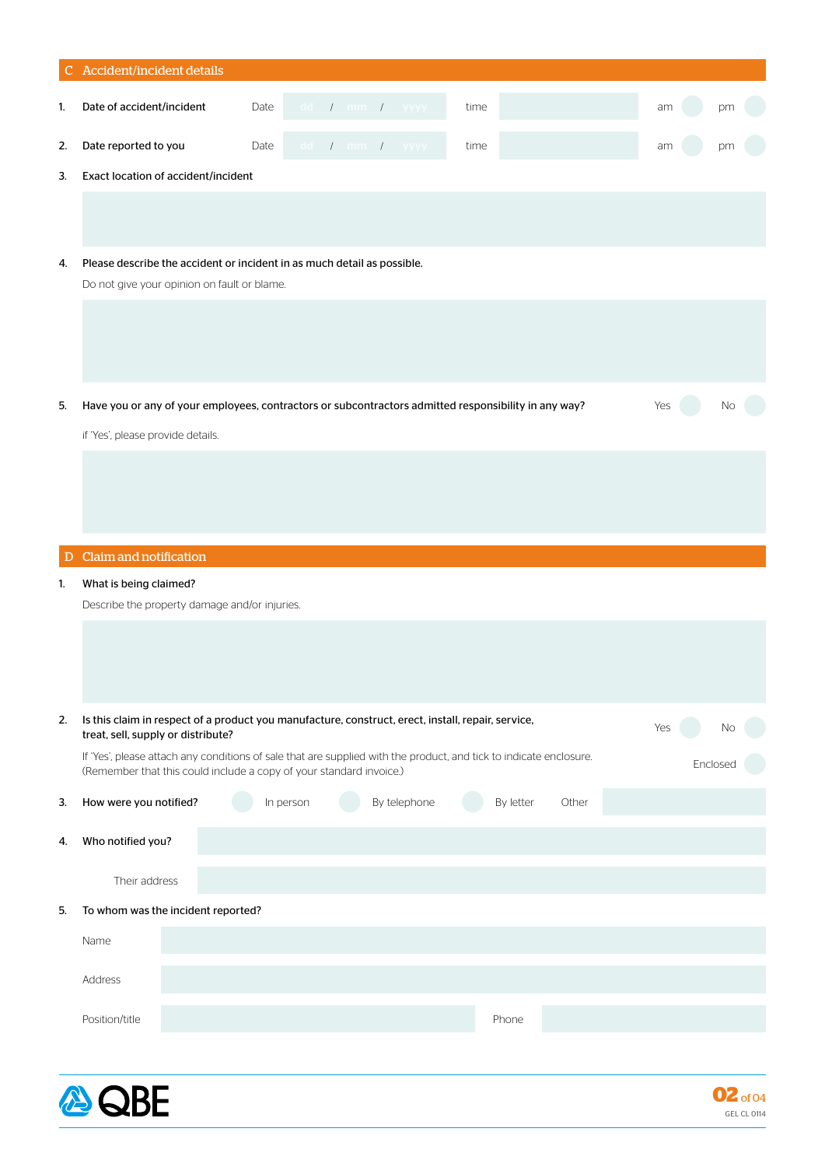|    | C Accident/incident details                                                                                                                                                               |           |
|----|-------------------------------------------------------------------------------------------------------------------------------------------------------------------------------------------|-----------|
| 1. | $dd$ / $mm$ / $yyyy$<br>Date of accident/incident<br>Date<br>time                                                                                                                         | am<br>pm  |
| 2. | Date reported to you<br>Date<br>dd $I$ mm $I$ yyyy<br>time                                                                                                                                | am        |
| 3. | Exact location of accident/incident                                                                                                                                                       |           |
|    |                                                                                                                                                                                           |           |
| 4. | Please describe the accident or incident in as much detail as possible.<br>Do not give your opinion on fault or blame.                                                                    |           |
|    |                                                                                                                                                                                           |           |
| 5. | Have you or any of your employees, contractors or subcontractors admitted responsibility in any way?                                                                                      | Yes<br>Νo |
|    | if 'Yes', please provide details.                                                                                                                                                         |           |
|    |                                                                                                                                                                                           |           |
|    | D Claim and notification                                                                                                                                                                  |           |
| 1. | What is being claimed?                                                                                                                                                                    |           |
|    | Describe the property damage and/or injuries.                                                                                                                                             |           |
|    |                                                                                                                                                                                           |           |
|    |                                                                                                                                                                                           |           |
| 2. | Is this claim in respect of a product you manufacture, construct, erect, install, repair, service,<br>treat, sell, supply or distribute?                                                  | Yes<br>No |
|    | If 'Yes', please attach any conditions of sale that are supplied with the product, and tick to indicate enclosure.<br>(Remember that this could include a copy of your standard invoice.) | Enclosed  |
| 3. | By telephone<br>How were you notified?<br>In person<br>By letter                                                                                                                          | Other     |
| 4. | Who notified you?                                                                                                                                                                         |           |
|    | Their address                                                                                                                                                                             |           |
| 5. | To whom was the incident reported?                                                                                                                                                        |           |
|    | Name                                                                                                                                                                                      |           |
|    | Address                                                                                                                                                                                   |           |
|    | Position/title<br>Phone                                                                                                                                                                   |           |
|    |                                                                                                                                                                                           |           |
|    |                                                                                                                                                                                           |           |



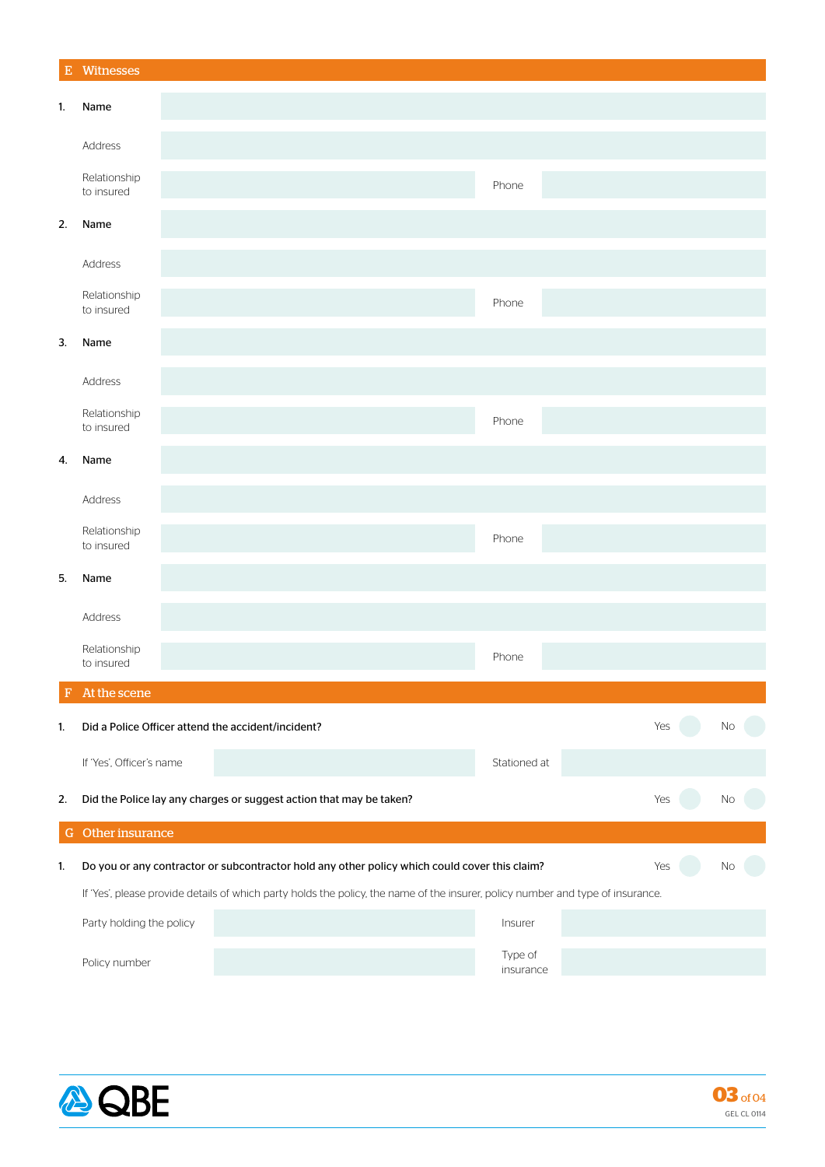| ${\bf E}$ | Witnesses                                                                                                                       |  |                                                                     |  |                                                                                               |                      |     |     |    |
|-----------|---------------------------------------------------------------------------------------------------------------------------------|--|---------------------------------------------------------------------|--|-----------------------------------------------------------------------------------------------|----------------------|-----|-----|----|
| 1.        | Name                                                                                                                            |  |                                                                     |  |                                                                                               |                      |     |     |    |
|           | Address                                                                                                                         |  |                                                                     |  |                                                                                               |                      |     |     |    |
|           | Relationship<br>to insured                                                                                                      |  |                                                                     |  |                                                                                               | Phone                |     |     |    |
| 2.        | Name                                                                                                                            |  |                                                                     |  |                                                                                               |                      |     |     |    |
|           | Address                                                                                                                         |  |                                                                     |  |                                                                                               |                      |     |     |    |
|           | Relationship<br>to insured                                                                                                      |  |                                                                     |  |                                                                                               | Phone                |     |     |    |
| 3.        | Name                                                                                                                            |  |                                                                     |  |                                                                                               |                      |     |     |    |
|           | Address                                                                                                                         |  |                                                                     |  |                                                                                               |                      |     |     |    |
|           | Relationship<br>to insured                                                                                                      |  |                                                                     |  |                                                                                               | Phone                |     |     |    |
| 4.        | Name                                                                                                                            |  |                                                                     |  |                                                                                               |                      |     |     |    |
|           | Address                                                                                                                         |  |                                                                     |  |                                                                                               |                      |     |     |    |
|           | Relationship<br>to insured                                                                                                      |  |                                                                     |  |                                                                                               | Phone                |     |     |    |
| 5.        | Name                                                                                                                            |  |                                                                     |  |                                                                                               |                      |     |     |    |
|           | Address                                                                                                                         |  |                                                                     |  |                                                                                               |                      |     |     |    |
|           | Relationship<br>to insured                                                                                                      |  |                                                                     |  |                                                                                               | Phone                |     |     |    |
| F         | At the scene                                                                                                                    |  |                                                                     |  |                                                                                               |                      |     |     |    |
| 1.        |                                                                                                                                 |  | Did a Police Officer attend the accident/incident?                  |  |                                                                                               |                      |     | Yes | No |
|           | If 'Yes', Officer's name                                                                                                        |  |                                                                     |  |                                                                                               | Stationed at         |     |     |    |
| 2.        |                                                                                                                                 |  | Did the Police lay any charges or suggest action that may be taken? |  |                                                                                               |                      | Yes |     | No |
|           | G Other insurance                                                                                                               |  |                                                                     |  |                                                                                               |                      |     |     |    |
| 1.        |                                                                                                                                 |  |                                                                     |  | Do you or any contractor or subcontractor hold any other policy which could cover this claim? |                      | Yes |     | N0 |
|           | If 'Yes', please provide details of which party holds the policy, the name of the insurer, policy number and type of insurance. |  |                                                                     |  |                                                                                               |                      |     |     |    |
|           | Party holding the policy                                                                                                        |  |                                                                     |  |                                                                                               | Insurer              |     |     |    |
|           | Policy number                                                                                                                   |  |                                                                     |  |                                                                                               | Type of<br>insurance |     |     |    |